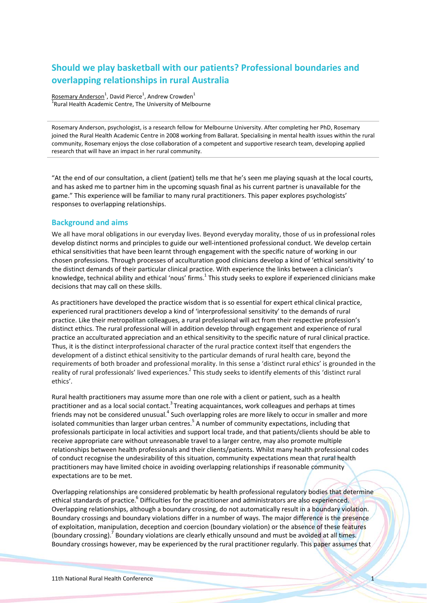# **Should we play basketball with our patients? Professional boundaries and overlapping relationships in rural Australia**

Rosemary Anderson<sup>1</sup>, David Pierce<sup>1</sup>, Andrew Crowden<sup>1</sup> <sup>1</sup>Rural Health Academic Centre, The University of Melbourne

Rosemary Anderson, psychologist, is a research fellow for Melbourne University. After completing her PhD, Rosemary joined the Rural Health Academic Centre in 2008 working from Ballarat. Specialising in mental health issues within the rural community, Rosemary enjoys the close collaboration of a competent and supportive research team, developing applied research that will have an impact in her rural community.

"At the end of our consultation, a client (patient) tells me that he's seen me playing squash at the local courts, and has asked me to partner him in the upcoming squash final as his current partner is unavailable for the game." This experience will be familiar to many rural practitioners. This paper explores psychologists' responses to overlapping relationships.

## **Background and aims**

We all have moral obligations in our everyday lives. Beyond everyday morality, those of us in professional roles develop distinct norms and principles to guide our well‐intentioned professional conduct. We develop certain ethical sensitivities that have been learnt through engagement with the specific nature of working in our chosen professions. Through processes of acculturation good clinicians develop a kind of 'ethical sensitivity' to the distinct demands of their particular clinical practice. With experience the links between a clinician's knowledge, technical ability and ethical 'nous' firms.<sup>1</sup> This study seeks to explore if experienced clinicians make decisions that may call on these skills.

As practitioners have developed the practice wisdom that is so essential for expert ethical clinical practice, experienced rural practitioners develop a kind of 'interprofessional sensitivity' to the demands of rural practice. Like their metropolitan colleagues, a rural professional will act from their respective profession's distinct ethics. The rural professional will in addition develop through engagement and experience of rural practice an acculturated appreciation and an ethical sensitivity to the specific nature of rural clinical practice. Thus, it is the distinct interprofessional character of the rural practice context itself that engenders the development of a distinct ethical sensitivity to the particular demands of rural health care, beyond the requirements of both broader and professional morality. In this sense a 'distinct rural ethics' is grounded in the reality of rural professionals' lived experiences.<sup>2</sup> This study seeks to identify elements of this 'distinct rural ethics'.

Rural health practitioners may assume more than one role with a client or patient, such as a health practitioner and as a local social contact.<sup>3</sup> Treating acquaintances, work colleagues and perhaps at times friends may not be considered unusual.<sup>4</sup> Such overlapping roles are more likely to occur in smaller and more isolated communities than larger urban centres. $5$  A number of community expectations, including that professionals participate in local activities and support local trade, and that patients/clients should be able to receive appropriate care without unreasonable travel to a larger centre, may also promote multiple relationships between health professionals and their clients/patients. Whilst many health professional codes of conduct recognise the undesirability of this situation, community expectations mean that rural health practitioners may have limited choice in avoiding overlapping relationships if reasonable community expectations are to be met.

Overlapping relationships are considered problematic by health professional regulatory bodies that determine ethical standards of practice.<sup>6</sup> Difficulties for the practitioner and administrators are also experienced. Overlapping relationships, although a boundary crossing, do not automatically result in a boundary violation. Boundary crossings and boundary violations differ in a number of ways. The major difference is the presence of exploitation, manipulation, deception and coercion (boundary violation) or the absence of these features (boundary crossing).<sup>7</sup> Boundary violations are clearly ethically unsound and must be avoided at all times. Boundary crossings however, may be experienced by the rural practitioner regularly. This paper assumes that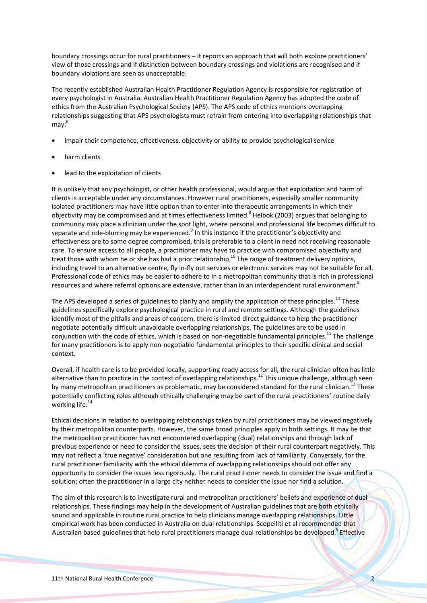boundary crossings occur for rural practitioners – it reports an approach that will both explore practitioners' view of those crossings and if distinction between boundary crossings and violations are recognised and if boundary violations are seen as unacceptable.

The recently established Australian Health Practitioner Regulation Agency is responsible for registration of every psychologist in Australia. Australian Health Practitioner Regulation Agency has adopted the code of ethics from the Australian Psychological Society (APS). The APS code of ethics mentions overlapping relationships suggesting that APS psychologists must refrain from entering into overlapping relationships that  $max<sup>6</sup>$ 

- impair their competence, effectiveness, objectivity or ability to provide psychological service
- harm clients
- lead to the exploitation of clients

It is unlikely that any psychologist, or other health professional, would argue that exploitation and harm of clients is acceptable under any circumstances. However rural practitioners, especially smaller community isolated practitioners may have little option than to enter into therapeutic arrangements in which their objectivity may be compromised and at times effectiveness limited.<sup>8</sup> Helbok (2003) argues that belonging to community may place a clinician under the spot light, where personal and professional life becomes difficult to separate and role-blurring may be experienced.<sup>9</sup> In this instance if the practitioner's objectivity and effectiveness are to some degree compromised, this is preferable to a client in need not receiving reasonable care. To ensure access to all people, a practitioner may have to practice with compromised objectivity and treat those with whom he or she has had a prior relationship.<sup>10</sup> The range of treatment delivery options, including travel to an alternative centre, fly in-fly out services or electronic services may not be suitable for all. Professional code of ethics may be easier to adhere to in a metropolitan community that is rich in professional resources and where referral options are extensive, rather than in an interdependent rural environment.<sup>8</sup>

The APS developed a series of guidelines to clarify and amplify the application of these principles.<sup>11</sup> These guidelines specifically explore psychological practice in rural and remote settings. Although the guidelines identify most of the pitfalls and areas of concern, there is limited direct guidance to help the practitioner negotiate potentially difficult unavoidable overlapping relationships. The guidelines are to be used in conjunction with the code of ethics, which is based on non-negotiable fundamental principles.<sup>11</sup> The challenge for many practitioners is to apply non-negotiable fundamental principles to their specific clinical and social context.

Overall, if health care is to be provided locally, supporting ready access for all, the rural clinician often has little alternative than to practice in the context of overlapping relationships.12 This unique challenge, although seen by many metropolitan practitioners as problematic, may be considered standard for the rural clinician.<sup>13</sup> These potentially conflicting roles although ethically challenging may be part of the rural practitioners' routine daily working life. $14$ 

Ethical decisions in relation to overlapping relationships taken by rural practitioners may be viewed negatively by their metropolitan counterparts. However, the same broad principles apply in both settings. It may be that the metropolitan practitioner has not encountered overlapping (dual) relationships and through lack of previous experience or need to consider the issues, sees the decision of their rural counterpart negatively. This may not reflect a 'true negative' consideration but one resulting from lack of familiarity. Conversely, for the rural practitioner familiarity with the ethical dilemma of overlapping relationships should not offer any opportunity to consider the issues less rigorously. The rural practitioner needs to consider the issue and find a solution; often the practitioner in a large city neither needs to consider the issue nor find a solution.

The aim of this research is to investigate rural and metropolitan practitioners' beliefs and experience of dual relationships. These findings may help in the development of Australian guidelines that are both ethically sound and applicable in routine rural practice to help clinicians manage overlapping relationships. Little empirical work has been conducted in Australia on dual relationships. Scopelliti et al recommended that Australian based guidelines that help rural practitioners manage dual relationships be developed.<sup>5</sup> Effective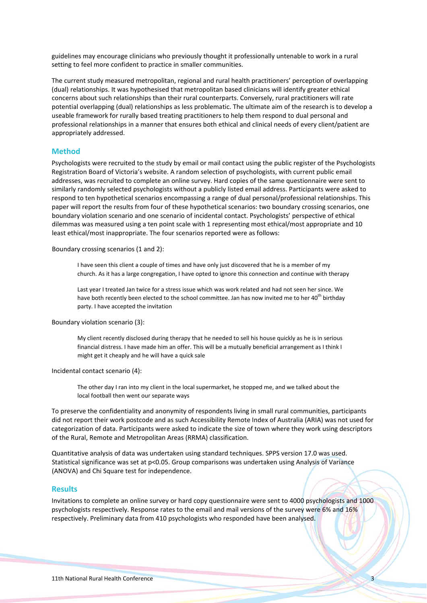guidelines may encourage clinicians who previously thought it professionally untenable to work in a rural setting to feel more confident to practice in smaller communities.

The current study measured metropolitan, regional and rural health practitioners' perception of overlapping (dual) relationships. It was hypothesised that metropolitan based clinicians will identify greater ethical concerns about such relationships than their rural counterparts. Conversely, rural practitioners will rate potential overlapping (dual) relationships as less problematic. The ultimate aim of the research is to develop a useable framework for rurally based treating practitioners to help them respond to dual personal and professional relationships in a manner that ensures both ethical and clinical needs of every client/patient are appropriately addressed.

## **Method**

Psychologists were recruited to the study by email or mail contact using the public register of the Psychologists Registration Board of Victoria's website. A random selection of psychologists, with current public email addresses, was recruited to complete an online survey. Hard copies of the same questionnaire were sent to similarly randomly selected psychologists without a publicly listed email address. Participants were asked to respond to ten hypothetical scenarios encompassing a range of dual personal/professional relationships. This paper will report the results from four of these hypothetical scenarios: two boundary crossing scenarios, one boundary violation scenario and one scenario of incidental contact. Psychologists' perspective of ethical dilemmas was measured using a ten point scale with 1 representing most ethical/most appropriate and 10 least ethical/most inappropriate. The four scenarios reported were as follows:

Boundary crossing scenarios (1 and 2):

I have seen this client a couple of times and have only just discovered that he is a member of my church. As it has a large congregation, I have opted to ignore this connection and continue with therapy

Last year I treated Jan twice for a stress issue which was work related and had not seen her since. We have both recently been elected to the school committee. Jan has now invited me to her 40<sup>th</sup> birthday party. I have accepted the invitation

Boundary violation scenario (3):

My client recently disclosed during therapy that he needed to sell his house quickly as he is in serious financial distress. I have made him an offer. This will be a mutually beneficial arrangement as I think I might get it cheaply and he will have a quick sale

Incidental contact scenario (4):

The other day I ran into my client in the local supermarket, he stopped me, and we talked about the local football then went our separate ways

To preserve the confidentiality and anonymity of respondents living in small rural communities, participants did not report their work postcode and as such Accessibility Remote Index of Australia (ARIA) was not used for categorization of data. Participants were asked to indicate the size of town where they work using descriptors of the Rural, Remote and Metropolitan Areas (RRMA) classification.

Quantitative analysis of data was undertaken using standard techniques. SPPS version 17.0 was used. Statistical significance was set at p<0.05. Group comparisons was undertaken using Analysis of Variance (ANOVA) and Chi Square test for independence.

## **Results**

Invitations to complete an online survey or hard copy questionnaire were sent to 4000 psychologists and 1000 psychologists respectively. Response rates to the email and mail versions of the survey were 6% and 16% respectively. Preliminary data from 410 psychologists who responded have been analysed.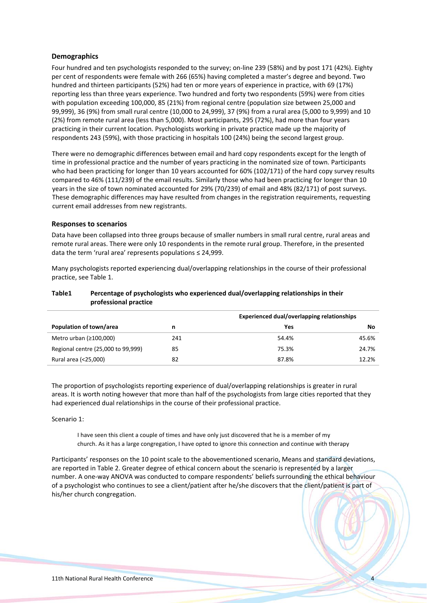## **Demographics**

Four hundred and ten psychologists responded to the survey; on‐line 239 (58%) and by post 171 (42%). Eighty per cent of respondents were female with 266 (65%) having completed a master's degree and beyond. Two hundred and thirteen participants (52%) had ten or more years of experience in practice, with 69 (17%) reporting less than three years experience. Two hundred and forty two respondents (59%) were from cities with population exceeding 100,000, 85 (21%) from regional centre (population size between 25,000 and 99,999), 36 (9%) from small rural centre (10,000 to 24,999), 37 (9%) from a rural area (5,000 to 9,999) and 10 (2%) from remote rural area (less than 5,000). Most participants, 295 (72%), had more than four years practicing in their current location. Psychologists working in private practice made up the majority of respondents 243 (59%), with those practicing in hospitals 100 (24%) being the second largest group.

There were no demographic differences between email and hard copy respondents except for the length of time in professional practice and the number of years practicing in the nominated size of town. Participants who had been practicing for longer than 10 years accounted for 60% (102/171) of the hard copy survey results compared to 46% (111/239) of the email results. Similarly those who had been practicing for longer than 10 years in the size of town nominated accounted for 29% (70/239) of email and 48% (82/171) of post surveys. These demographic differences may have resulted from changes in the registration requirements, requesting current email addresses from new registrants.

## **Responses to scenarios**

Data have been collapsed into three groups because of smaller numbers in small rural centre, rural areas and remote rural areas. There were only 10 respondents in the remote rural group. Therefore, in the presented data the term 'rural area' represents populations ≤ 24,999.

Many psychologists reported experiencing dual/overlapping relationships in the course of their professional practice, see Table 1.

## **Table1 Percentage of psychologists who experienced dual/overlapping relationships in their professional practice**

|                                    |     | <b>Experienced dual/overlapping relationships</b> |       |
|------------------------------------|-----|---------------------------------------------------|-------|
| Population of town/area            | n   | Yes                                               | No    |
| Metro urban $(≥100,000)$           | 241 | 54.4%                                             | 45.6% |
| Regional centre (25,000 to 99,999) | 85  | 75.3%                                             | 24.7% |
| Rural area (<25,000)               | 82  | 87.8%                                             | 12.2% |

The proportion of psychologists reporting experience of dual/overlapping relationships is greater in rural areas. It is worth noting however that more than half of the psychologists from large cities reported that they had experienced dual relationships in the course of their professional practice.

#### Scenario 1:

I have seen this client a couple of times and have only just discovered that he is a member of my church. As it has a large congregation, I have opted to ignore this connection and continue with therapy

Participants' responses on the 10 point scale to the abovementioned scenario, Means and standard deviations, are reported in Table 2. Greater degree of ethical concern about the scenario is represented by a larger number. A one‐way ANOVA was conducted to compare respondents' beliefs surrounding the ethical behaviour of a psychologist who continues to see a client/patient after he/she discovers that the client/patient is part of his/her church congregation.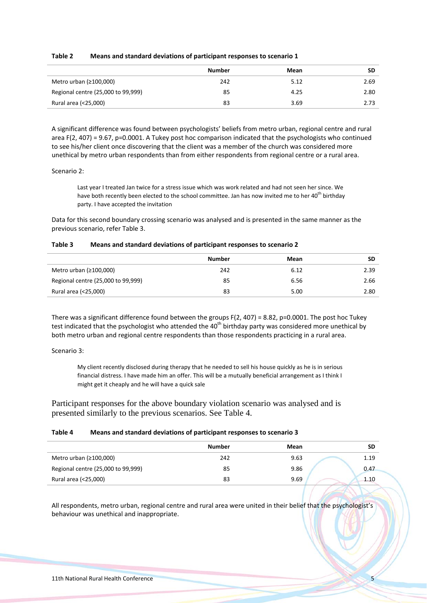| Table 2 | Means and standard deviations of participant responses to scenario 1 |
|---------|----------------------------------------------------------------------|
|---------|----------------------------------------------------------------------|

|                                    | <b>Number</b> | Mean | SD   |
|------------------------------------|---------------|------|------|
| Metro urban $(≥100,000)$           | 242           | 5.12 | 2.69 |
| Regional centre (25,000 to 99,999) | 85            | 4.25 | 2.80 |
| Rural area (<25,000)               | 83            | 3.69 | 2.73 |

A significant difference was found between psychologists' beliefs from metro urban, regional centre and rural area F(2, 407) = 9.67, p=0.0001. A Tukey post hoc comparison indicated that the psychologists who continued to see his/her client once discovering that the client was a member of the church was considered more unethical by metro urban respondents than from either respondents from regional centre or a rural area.

## Scenario 2:

Last year I treated Jan twice for a stress issue which was work related and had not seen her since. We have both recently been elected to the school committee. Jan has now invited me to her 40<sup>th</sup> birthday party. I have accepted the invitation

Data for this second boundary crossing scenario was analysed and is presented in the same manner as the previous scenario, refer Table 3.

| Table 3 | Means and standard deviations of participant responses to scenario 2 |
|---------|----------------------------------------------------------------------|
|---------|----------------------------------------------------------------------|

|                                    | Number | Mean | SD   |
|------------------------------------|--------|------|------|
| Metro urban $(≥100,000)$           | 242    | 6.12 | 2.39 |
| Regional centre (25,000 to 99,999) | 85     | 6.56 | 2.66 |
| Rural area (<25,000)               | 83     | 5.00 | 2.80 |

There was a significant difference found between the groups  $F(2, 407) = 8.82$ , p=0.0001. The post hoc Tukey test indicated that the psychologist who attended the 40<sup>th</sup> birthday party was considered more unethical by both metro urban and regional centre respondents than those respondents practicing in a rural area.

Scenario 3:

My client recently disclosed during therapy that he needed to sell his house quickly as he is in serious financial distress. I have made him an offer. This will be a mutually beneficial arrangement as I think I might get it cheaply and he will have a quick sale

Participant responses for the above boundary violation scenario was analysed and is presented similarly to the previous scenarios. See Table 4.

## **Table 4 Means and standard deviations of participant responses to scenario 3**

|                                    | <b>Number</b> | Mean | SD   |
|------------------------------------|---------------|------|------|
| Metro urban $(≥100,000)$           | 242           | 9.63 | 1.19 |
| Regional centre (25,000 to 99,999) | 85            | 9.86 | 0.47 |
| Rural area (<25,000)               | 83            | 9.69 | 1.10 |

All respondents, metro urban, regional centre and rural area were united in their belief that the psychologist's behaviour was unethical and inappropriate.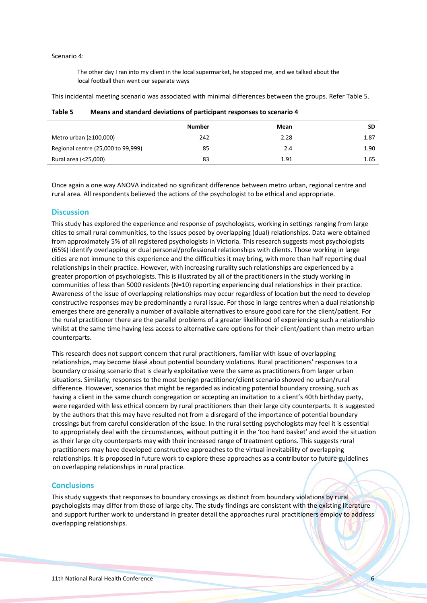#### Scenario 4:

The other day I ran into my client in the local supermarket, he stopped me, and we talked about the local football then went our separate ways

This incidental meeting scenario was associated with minimal differences between the groups. Refer Table 5.

|                                    | <b>Number</b> | Mean | <b>SD</b> |
|------------------------------------|---------------|------|-----------|
| Metro urban $(≥100,000)$           | 242           | 2.28 | 1.87      |
| Regional centre (25,000 to 99,999) | 85            | 2.4  | 1.90      |
| Rural area (<25,000)               | 83            | 1.91 | 1.65      |

**Table 5 Means and standard deviations of participant responses to scenario 4**

Once again a one way ANOVA indicated no significant difference between metro urban, regional centre and rural area. All respondents believed the actions of the psychologist to be ethical and appropriate.

## **Discussion**

This study has explored the experience and response of psychologists, working in settings ranging from large cities to small rural communities, to the issues posed by overlapping (dual) relationships. Data were obtained from approximately 5% of all registered psychologists in Victoria. This research suggests most psychologists (65%) identify overlapping or dual personal/professional relationships with clients. Those working in large cities are not immune to this experience and the difficulties it may bring, with more than half reporting dual relationships in their practice. However, with increasing rurality such relationships are experienced by a greater proportion of psychologists. This is illustrated by all of the practitioners in the study working in communities of less than 5000 residents (N=10) reporting experiencing dual relationships in their practice. Awareness of the issue of overlapping relationships may occur regardless of location but the need to develop constructive responses may be predominantly a rural issue. For those in large centres when a dual relationship emerges there are generally a number of available alternatives to ensure good care for the client/patient. For the rural practitioner there are the parallel problems of a greater likelihood of experiencing such a relationship whilst at the same time having less access to alternative care options for their client/patient than metro urban counterparts.

This research does not support concern that rural practitioners, familiar with issue of overlapping relationships, may become blasé about potential boundary violations. Rural practitioners' responses to a boundary crossing scenario that is clearly exploitative were the same as practitioners from larger urban situations. Similarly, responses to the most benign practitioner/client scenario showed no urban/rural difference. However, scenarios that might be regarded as indicating potential boundary crossing, such as having a client in the same church congregation or accepting an invitation to a client's 40th birthday party, were regarded with less ethical concern by rural practitioners than their large city counterparts. It is suggested by the authors that this may have resulted not from a disregard of the importance of potential boundary crossings but from careful consideration of the issue. In the rural setting psychologists may feel it is essential to appropriately deal with the circumstances, without putting it in the 'too hard basket' and avoid the situation as their large city counterparts may with their increased range of treatment options. This suggests rural practitioners may have developed constructive approaches to the virtual inevitability of overlapping relationships. It is proposed in future work to explore these approaches as a contributor to future guidelines on overlapping relationships in rural practice.

# **Conclusions**

This study suggests that responses to boundary crossings as distinct from boundary violations by rural psychologists may differ from those of large city. The study findings are consistent with the existing literature and support further work to understand in greater detail the approaches rural practitioners employ to address overlapping relationships.